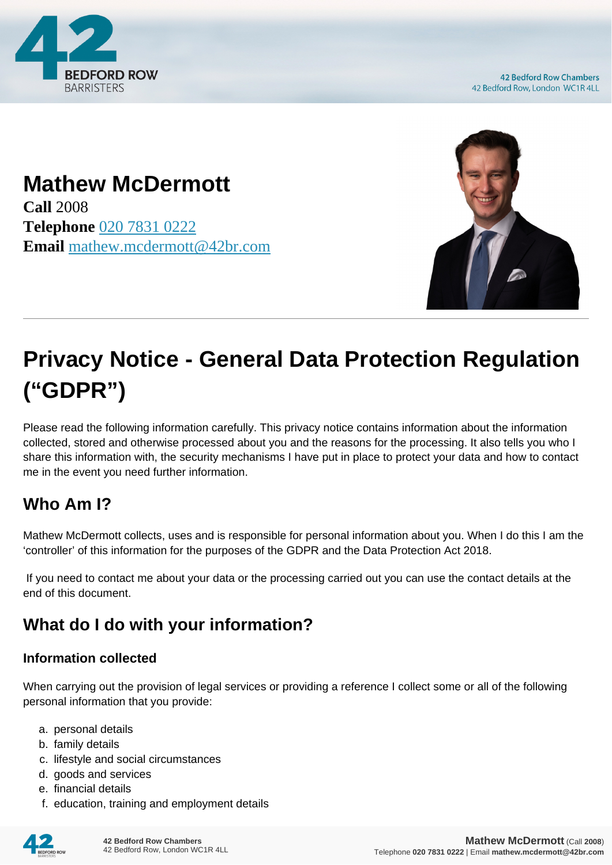

**42 Bedford Row Chambers** 42 Bedford Row, London WC1R 4LL

# **Mathew McDermott**

**Call** 2008 **Telephone** [020 7831 0222](https://pdf.codeshore.co/_42br/tel:020 7831 0222) **Email** [mathew.mcdermott@42br.com](mailto:mathew.mcdermott@42br.com)



# **Privacy Notice - General Data Protection Regulation ("GDPR")**

Please read the following information carefully. This privacy notice contains information about the information collected, stored and otherwise processed about you and the reasons for the processing. It also tells you who I share this information with, the security mechanisms I have put in place to protect your data and how to contact me in the event you need further information.

# **Who Am I?**

Mathew McDermott collects, uses and is responsible for personal information about you. When I do this I am the 'controller' of this information for the purposes of the GDPR and the Data Protection Act 2018.

 If you need to contact me about your data or the processing carried out you can use the contact details at the end of this document.

# **What do I do with your information?**

#### **Information collected**

When carrying out the provision of legal services or providing a reference I collect some or all of the following personal information that you provide:

- a. personal details
- b. family details
- c. lifestyle and social circumstances
- d. goods and services
- e. financial details
- f. education, training and employment details

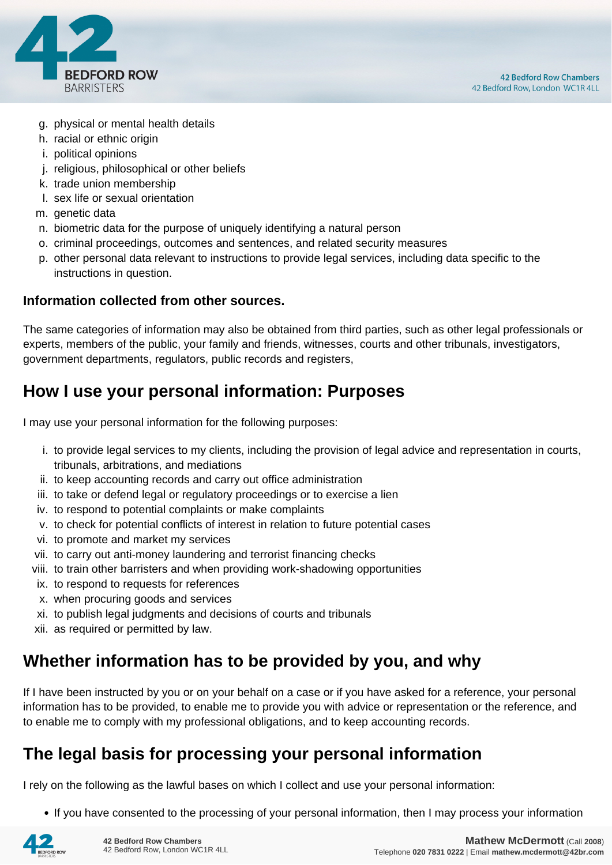

- g. physical or mental health details
- h. racial or ethnic origin
- i. political opinions
- j. religious, philosophical or other beliefs
- k. trade union membership
- l. sex life or sexual orientation
- m. genetic data
- n. biometric data for the purpose of uniquely identifying a natural person
- o. criminal proceedings, outcomes and sentences, and related security measures
- p. other personal data relevant to instructions to provide legal services, including data specific to the instructions in question.

#### **Information collected from other sources.**

The same categories of information may also be obtained from third parties, such as other legal professionals or experts, members of the public, your family and friends, witnesses, courts and other tribunals, investigators, government departments, regulators, public records and registers,

#### **How I use your personal information: Purposes**

I may use your personal information for the following purposes:

- i. to provide legal services to my clients, including the provision of legal advice and representation in courts, tribunals, arbitrations, and mediations
- ii. to keep accounting records and carry out office administration
- iii. to take or defend legal or regulatory proceedings or to exercise a lien
- iv. to respond to potential complaints or make complaints
- v. to check for potential conflicts of interest in relation to future potential cases
- vi. to promote and market my services
- vii. to carry out anti-money laundering and terrorist financing checks
- viii. to train other barristers and when providing work-shadowing opportunities
- ix. to respond to requests for references
- x. when procuring goods and services
- xi. to publish legal judgments and decisions of courts and tribunals
- xii. as required or permitted by law.

#### **Whether information has to be provided by you, and why**

If I have been instructed by you or on your behalf on a case or if you have asked for a reference, your personal information has to be provided, to enable me to provide you with advice or representation or the reference, and to enable me to comply with my professional obligations, and to keep accounting records.

#### **The legal basis for processing your personal information**

I rely on the following as the lawful bases on which I collect and use your personal information:

• If you have consented to the processing of your personal information, then I may process your information

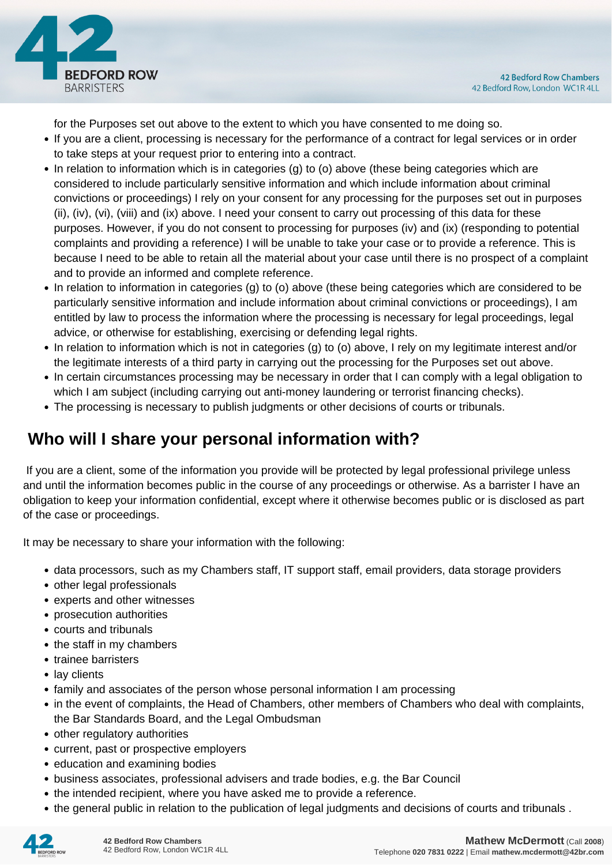

for the Purposes set out above to the extent to which you have consented to me doing so.

- If you are a client, processing is necessary for the performance of a contract for legal services or in order to take steps at your request prior to entering into a contract.
- In relation to information which is in categories (g) to (o) above (these being categories which are considered to include particularly sensitive information and which include information about criminal convictions or proceedings) I rely on your consent for any processing for the purposes set out in purposes (ii), (iv), (vi), (viii) and (ix) above. I need your consent to carry out processing of this data for these purposes. However, if you do not consent to processing for purposes (iv) and (ix) (responding to potential complaints and providing a reference) I will be unable to take your case or to provide a reference. This is because I need to be able to retain all the material about your case until there is no prospect of a complaint and to provide an informed and complete reference.
- In relation to information in categories (g) to (o) above (these being categories which are considered to be particularly sensitive information and include information about criminal convictions or proceedings), I am entitled by law to process the information where the processing is necessary for legal proceedings, legal advice, or otherwise for establishing, exercising or defending legal rights.
- In relation to information which is not in categories (g) to (o) above, I rely on my legitimate interest and/or the legitimate interests of a third party in carrying out the processing for the Purposes set out above.
- In certain circumstances processing may be necessary in order that I can comply with a legal obligation to which I am subject (including carrying out anti-money laundering or terrorist financing checks).
- The processing is necessary to publish judgments or other decisions of courts or tribunals.

## **Who will I share your personal information with?**

 If you are a client, some of the information you provide will be protected by legal professional privilege unless and until the information becomes public in the course of any proceedings or otherwise. As a barrister I have an obligation to keep your information confidential, except where it otherwise becomes public or is disclosed as part of the case or proceedings.

It may be necessary to share your information with the following:

- data processors, such as my Chambers staff, IT support staff, email providers, data storage providers
- other legal professionals
- experts and other witnesses
- prosecution authorities
- courts and tribunals
- the staff in my chambers
- trainee barristers
- lay clients
- family and associates of the person whose personal information I am processing
- in the event of complaints, the Head of Chambers, other members of Chambers who deal with complaints, the Bar Standards Board, and the Legal Ombudsman
- other regulatory authorities
- current, past or prospective employers
- education and examining bodies
- business associates, professional advisers and trade bodies, e.g. the Bar Council
- the intended recipient, where you have asked me to provide a reference.
- the general public in relation to the publication of legal judgments and decisions of courts and tribunals .

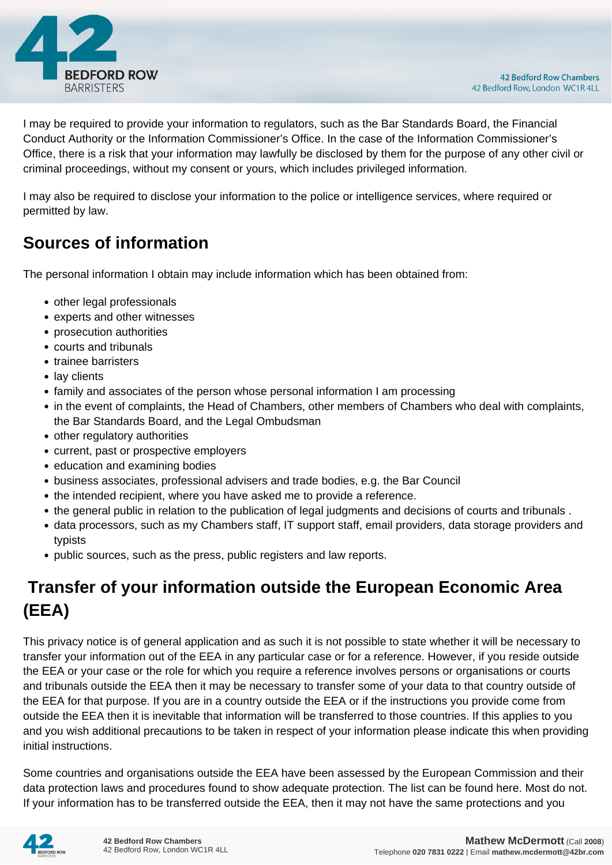

I may be required to provide your information to regulators, such as the Bar Standards Board, the Financial Conduct Authority or the Information Commissioner's Office. In the case of the Information Commissioner's Office, there is a risk that your information may lawfully be disclosed by them for the purpose of any other civil or criminal proceedings, without my consent or yours, which includes privileged information.

I may also be required to disclose your information to the police or intelligence services, where required or permitted by law.

#### **Sources of information**

The personal information I obtain may include information which has been obtained from:

- other legal professionals
- experts and other witnesses
- prosecution authorities
- courts and tribunals
- trainee barristers
- lay clients
- family and associates of the person whose personal information I am processing
- in the event of complaints, the Head of Chambers, other members of Chambers who deal with complaints, the Bar Standards Board, and the Legal Ombudsman
- other regulatory authorities
- current, past or prospective employers
- education and examining bodies
- business associates, professional advisers and trade bodies, e.g. the Bar Council
- the intended recipient, where you have asked me to provide a reference.
- the general public in relation to the publication of legal judgments and decisions of courts and tribunals .
- data processors, such as my Chambers staff, IT support staff, email providers, data storage providers and typists
- public sources, such as the press, public registers and law reports.

# **Transfer of your information outside the European Economic Area (EEA)**

This privacy notice is of general application and as such it is not possible to state whether it will be necessary to transfer your information out of the EEA in any particular case or for a reference. However, if you reside outside the EEA or your case or the role for which you require a reference involves persons or organisations or courts and tribunals outside the EEA then it may be necessary to transfer some of your data to that country outside of the EEA for that purpose. If you are in a country outside the EEA or if the instructions you provide come from outside the EEA then it is inevitable that information will be transferred to those countries. If this applies to you and you wish additional precautions to be taken in respect of your information please indicate this when providing initial instructions.

Some countries and organisations outside the EEA have been assessed by the European Commission and their data protection laws and procedures found to show adequate protection. The list can be found here. Most do not. If your information has to be transferred outside the EEA, then it may not have the same protections and you

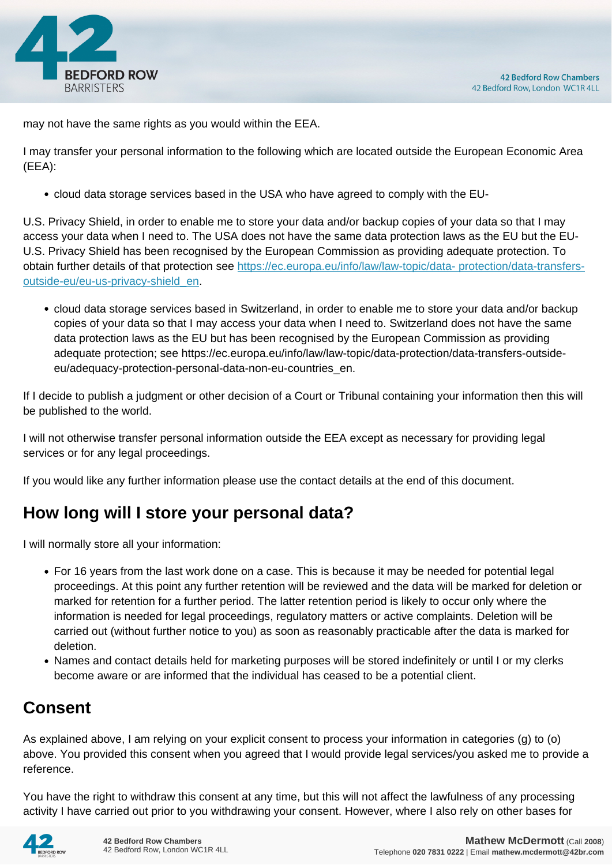

may not have the same rights as you would within the EEA.

I may transfer your personal information to the following which are located outside the European Economic Area (EEA):

cloud data storage services based in the USA who have agreed to comply with the EU-

U.S. Privacy Shield, in order to enable me to store your data and/or backup copies of your data so that I may access your data when I need to. The USA does not have the same data protection laws as the EU but the EU-U.S. Privacy Shield has been recognised by the European Commission as providing adequate protection. To obtain further details of that protection see [https://ec.europa.eu/info/law/law-topic/data- protection/data-transfers](https://ec.europa.eu/info/law/law-topic/data- protection/data-transfers-outside-eu/eu-us-privacy-shield_en)[outside-eu/eu-us-privacy-shield\\_en.](https://ec.europa.eu/info/law/law-topic/data- protection/data-transfers-outside-eu/eu-us-privacy-shield_en)

cloud data storage services based in Switzerland, in order to enable me to store your data and/or backup copies of your data so that I may access your data when I need to. Switzerland does not have the same data protection laws as the EU but has been recognised by the European Commission as providing adequate protection; see https://ec.europa.eu/info/law/law-topic/data-protection/data-transfers-outsideeu/adequacy-protection-personal-data-non-eu-countries\_en.

If I decide to publish a judgment or other decision of a Court or Tribunal containing your information then this will be published to the world.

I will not otherwise transfer personal information outside the EEA except as necessary for providing legal services or for any legal proceedings.

If you would like any further information please use the contact details at the end of this document.

#### **How long will I store your personal data?**

I will normally store all your information:

- For 16 years from the last work done on a case. This is because it may be needed for potential legal proceedings. At this point any further retention will be reviewed and the data will be marked for deletion or marked for retention for a further period. The latter retention period is likely to occur only where the information is needed for legal proceedings, regulatory matters or active complaints. Deletion will be carried out (without further notice to you) as soon as reasonably practicable after the data is marked for deletion.
- Names and contact details held for marketing purposes will be stored indefinitely or until I or my clerks become aware or are informed that the individual has ceased to be a potential client.

#### **Consent**

As explained above, I am relying on your explicit consent to process your information in categories (g) to (o) above. You provided this consent when you agreed that I would provide legal services/you asked me to provide a reference.

You have the right to withdraw this consent at any time, but this will not affect the lawfulness of any processing activity I have carried out prior to you withdrawing your consent. However, where I also rely on other bases for

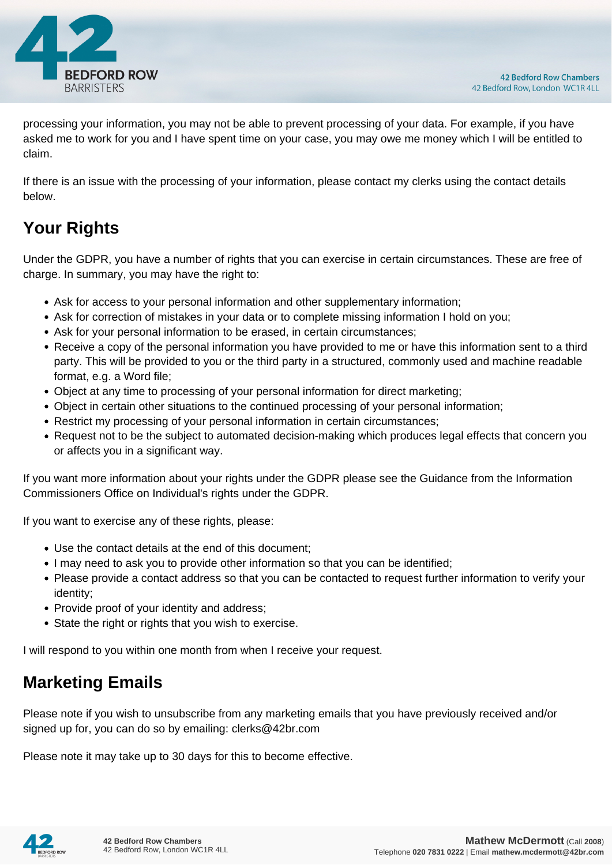

processing your information, you may not be able to prevent processing of your data. For example, if you have asked me to work for you and I have spent time on your case, you may owe me money which I will be entitled to claim.

If there is an issue with the processing of your information, please contact my clerks using the contact details below.

# **Your Rights**

Under the GDPR, you have a number of rights that you can exercise in certain circumstances. These are free of charge. In summary, you may have the right to:

- Ask for access to your personal information and other supplementary information;
- Ask for correction of mistakes in your data or to complete missing information I hold on you;
- Ask for your personal information to be erased, in certain circumstances;
- Receive a copy of the personal information you have provided to me or have this information sent to a third party. This will be provided to you or the third party in a structured, commonly used and machine readable format, e.g. a Word file;
- Object at any time to processing of your personal information for direct marketing;
- Object in certain other situations to the continued processing of your personal information;
- Restrict my processing of your personal information in certain circumstances;
- Request not to be the subject to automated decision-making which produces legal effects that concern you or affects you in a significant way.

If you want more information about your rights under the GDPR please see the Guidance from the Information Commissioners Office on Individual's rights under the GDPR.

If you want to exercise any of these rights, please:

- Use the contact details at the end of this document;
- I may need to ask you to provide other information so that you can be identified;
- Please provide a contact address so that you can be contacted to request further information to verify your identity;
- Provide proof of your identity and address;
- State the right or rights that you wish to exercise.

I will respond to you within one month from when I receive your request.

#### **Marketing Emails**

Please note if you wish to unsubscribe from any marketing emails that you have previously received and/or signed up for, you can do so by emailing: clerks@42br.com

Please note it may take up to 30 days for this to become effective.